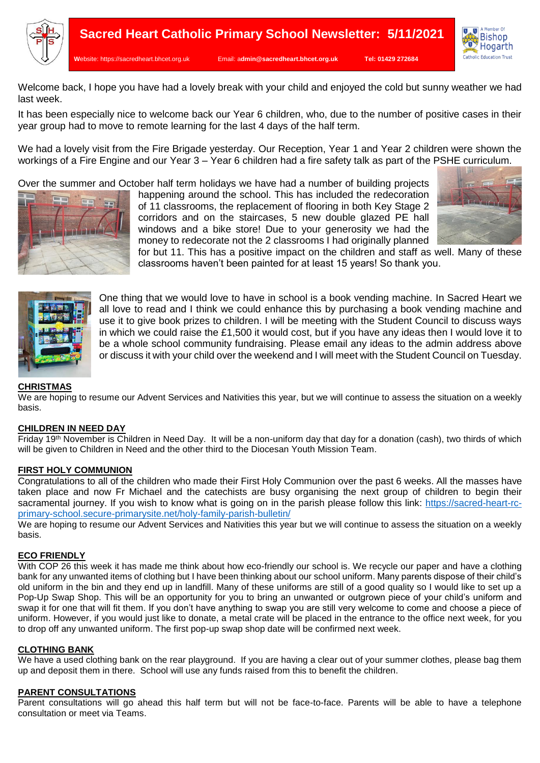



Welcome back, I hope you have had a lovely break with your child and enjoyed the cold but sunny weather we had last week.

It has been especially nice to welcome back our Year 6 children, who, due to the number of positive cases in their year group had to move to remote learning for the last 4 days of the half term.

We had a lovely visit from the Fire Brigade yesterday. Our Reception, Year 1 and Year 2 children were shown the workings of a Fire Engine and our Year 3 – Year 6 children had a fire safety talk as part of the PSHE curriculum.

Over the summer and October half term holidays we have had a number of building projects



happening around the school. This has included the redecoration of 11 classrooms, the replacement of flooring in both Key Stage 2 corridors and on the staircases, 5 new double glazed PE hall windows and a bike store! Due to your generosity we had the money to redecorate not the 2 classrooms I had originally planned



for but 11. This has a positive impact on the children and staff as well. Many of these classrooms haven't been painted for at least 15 years! So thank you.



One thing that we would love to have in school is a book vending machine. In Sacred Heart we all love to read and I think we could enhance this by purchasing a book vending machine and use it to give book prizes to children. I will be meeting with the Student Council to discuss ways in which we could raise the £1,500 it would cost, but if you have any ideas then I would love it to be a whole school community fundraising. Please email any ideas to the admin address above or discuss it with your child over the weekend and I will meet with the Student Council on Tuesday.

# **CHRISTMAS**

We are hoping to resume our Advent Services and Nativities this year, but we will continue to assess the situation on a weekly basis.

### **CHILDREN IN NEED DAY**

Friday 19th November is Children in Need Day. It will be a non-uniform day that day for a donation (cash), two thirds of which will be given to Children in Need and the other third to the Diocesan Youth Mission Team.

### **FIRST HOLY COMMUNION**

Congratulations to all of the children who made their First Holy Communion over the past 6 weeks. All the masses have taken place and now Fr Michael and the catechists are busy organising the next group of children to begin their sacramental journey. If you wish to know what is going on in the parish please follow this link: [https://sacred-heart-rc](https://sacred-heart-rc-primary-school.secure-primarysite.net/holy-family-parish-bulletin/)[primary-school.secure-primarysite.net/holy-family-parish-bulletin/](https://sacred-heart-rc-primary-school.secure-primarysite.net/holy-family-parish-bulletin/)

We are hoping to resume our Advent Services and Nativities this year but we will continue to assess the situation on a weekly basis.

### **ECO FRIENDLY**

With COP 26 this week it has made me think about how eco-friendly our school is. We recycle our paper and have a clothing bank for any unwanted items of clothing but I have been thinking about our school uniform. Many parents dispose of their child's old uniform in the bin and they end up in landfill. Many of these uniforms are still of a good quality so I would like to set up a Pop-Up Swap Shop. This will be an opportunity for you to bring an unwanted or outgrown piece of your child's uniform and swap it for one that will fit them. If you don't have anything to swap you are still very welcome to come and choose a piece of uniform. However, if you would just like to donate, a metal crate will be placed in the entrance to the office next week, for you to drop off any unwanted uniform. The first pop-up swap shop date will be confirmed next week.

### **CLOTHING BANK**

We have a used clothing bank on the rear playground. If you are having a clear out of your summer clothes, please bag them up and deposit them in there. School will use any funds raised from this to benefit the children.

### **PARENT CONSULTATIONS**

Parent consultations will go ahead this half term but will not be face-to-face. Parents will be able to have a telephone consultation or meet via Teams.